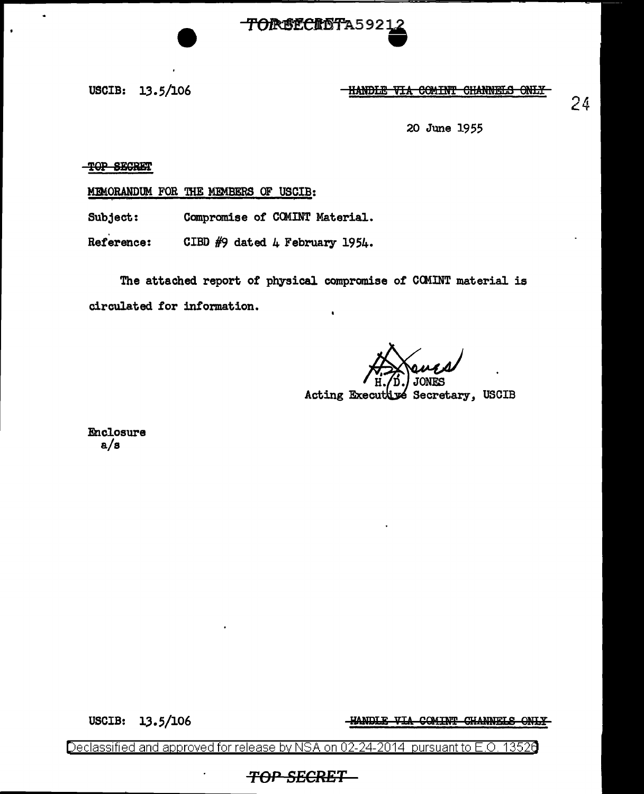

USCIB: 13.5/106 **IIANDLE VIA COMINT CHANNELS ONLY** 

24

20 June 1955

'l'9P SESRWr

 $\ddot{\phantom{a}}$ 

MEMORANDUM FOR THE MEMBERS OF USCIB:

Subject: Compromise of COMINT Material.

Reference: CIBD  $#9$  dated 4 February 1954.

The attached report of physical compromise of CCMINT material is circulated for information.

Acting Executive Secretary, USCIB

Enclosure a/s

-HANDLE VIA COMINT CHANNELS ONLY

USCIB: 13.5/106

Declassified and approved for release by NSA on 02-24-2014 pursuant to E.O. 1352e

*TOP SECRET*